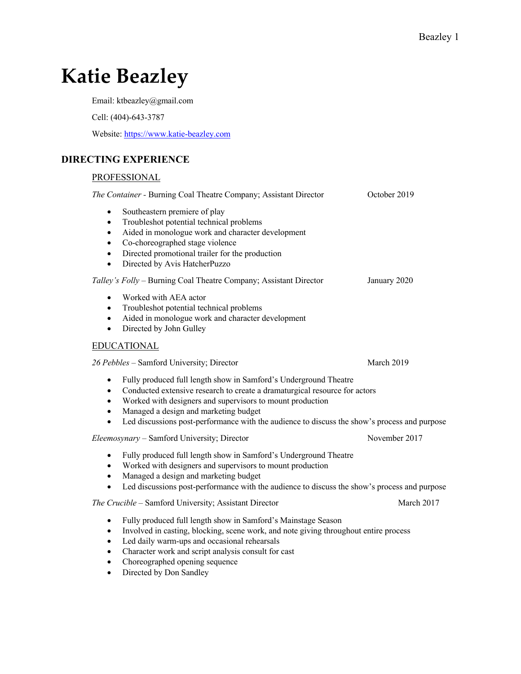# **Katie Beazley**

Email: ktbeazley@gmail.com

Cell: (404)-643-3787

Website: https://www.katie-beazley.com

# **DIRECTING EXPERIENCE**

# PROFESSIONAL

| The Container - Burning Coal Theatre Company; Assistant Director                                                                                                                                                                                                                                                                                                                                                      | October 2019  |
|-----------------------------------------------------------------------------------------------------------------------------------------------------------------------------------------------------------------------------------------------------------------------------------------------------------------------------------------------------------------------------------------------------------------------|---------------|
| Southeastern premiere of play<br>$\bullet$<br>Troubleshot potential technical problems<br>$\bullet$<br>Aided in monologue work and character development<br>$\bullet$<br>Co-choreographed stage violence<br>$\bullet$<br>Directed promotional trailer for the production<br>$\bullet$<br>Directed by Avis HatcherPuzzo<br>$\bullet$                                                                                   |               |
| Talley's Folly - Burning Coal Theatre Company; Assistant Director                                                                                                                                                                                                                                                                                                                                                     | January 2020  |
| Worked with AEA actor<br>$\bullet$<br>Troubleshot potential technical problems<br>$\bullet$<br>Aided in monologue work and character development<br>$\bullet$<br>Directed by John Gulley<br>$\bullet$                                                                                                                                                                                                                 |               |
| <b>EDUCATIONAL</b>                                                                                                                                                                                                                                                                                                                                                                                                    |               |
| 26 Pebbles - Samford University; Director                                                                                                                                                                                                                                                                                                                                                                             | March 2019    |
| Fully produced full length show in Samford's Underground Theatre<br>$\bullet$<br>Conducted extensive research to create a dramaturgical resource for actors<br>$\bullet$<br>Worked with designers and supervisors to mount production<br>$\bullet$<br>Managed a design and marketing budget<br>$\bullet$<br>Led discussions post-performance with the audience to discuss the show's process and purpose<br>$\bullet$ |               |
| Eleemosynary - Samford University; Director                                                                                                                                                                                                                                                                                                                                                                           | November 2017 |
| Fully produced full length show in Samford's Underground Theatre<br>٠<br>Worked with designers and supervisors to mount production<br>$\bullet$<br>Managed a design and marketing budget<br>$\bullet$<br>Led discussions post-performance with the audience to discuss the show's process and purpose<br>$\bullet$                                                                                                    |               |
| The Crucible - Samford University; Assistant Director                                                                                                                                                                                                                                                                                                                                                                 | March 2017    |
| Fully produced full length show in Samford's Mainstage Season<br>$\bullet$<br>Involved in casting, blocking, scene work, and note giving throughout entire process<br>$\bullet$<br>Led daily warm-ups and occasional rehearsals<br>$\bullet$<br>Character work and script analysis consult for cast<br>$\bullet$<br>Choreographed opening sequence<br>$\bullet$                                                       |               |

• Directed by Don Sandley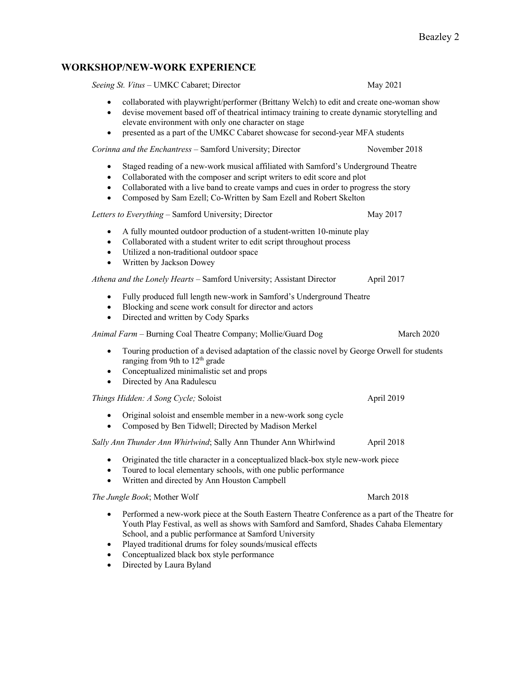# **WORKSHOP/NEW-WORK EXPERIENCE**

*Seeing St. Vitus –* UMKC Cabaret; Director May 2021

- collaborated with playwright/performer (Brittany Welch) to edit and create one-woman show
- devise movement based off of theatrical intimacy training to create dynamic storytelling and elevate environment with only one character on stage
- presented as a part of the UMKC Cabaret showcase for second-year MFA students

*Corinna and the Enchantress* – Samford University; Director November 2018

- Staged reading of a new-work musical affiliated with Samford's Underground Theatre
- Collaborated with the composer and script writers to edit score and plot
- Collaborated with a live band to create vamps and cues in order to progress the story
- Composed by Sam Ezell; Co-Written by Sam Ezell and Robert Skelton

*Letters to Everything* – Samford University; Director May 2017

- A fully mounted outdoor production of a student-written 10-minute play
- Collaborated with a student writer to edit script throughout process
- Utilized a non-traditional outdoor space
- Written by Jackson Dowey

### *Athena and the Lonely Hearts* – Samford University; Assistant Director April 2017

- Fully produced full length new-work in Samford's Underground Theatre
- Blocking and scene work consult for director and actors
- Directed and written by Cody Sparks

*Animal Farm –* Burning Coal Theatre Company; Mollie/Guard Dog March 2020

- Touring production of a devised adaptation of the classic novel by George Orwell for students ranging from 9th to  $12<sup>th</sup>$  grade
- Conceptualized minimalistic set and props
- Directed by Ana Radulescu

*Things Hidden: A Song Cycle; Soloist* April 2019

- Original soloist and ensemble member in a new-work song cycle
- Composed by Ben Tidwell; Directed by Madison Merkel

### *Sally Ann Thunder Ann Whirlwind*; Sally Ann Thunder Ann Whirlwind April 2018

- Originated the title character in a conceptualized black-box style new-work piece
- Toured to local elementary schools, with one public performance
- Written and directed by Ann Houston Campbell

### *The Jungle Book*; Mother Wolf March 2018

- Performed a new-work piece at the South Eastern Theatre Conference as a part of the Theatre for Youth Play Festival, as well as shows with Samford and Samford, Shades Cahaba Elementary School, and a public performance at Samford University
- Played traditional drums for foley sounds/musical effects
- Conceptualized black box style performance
- Directed by Laura Byland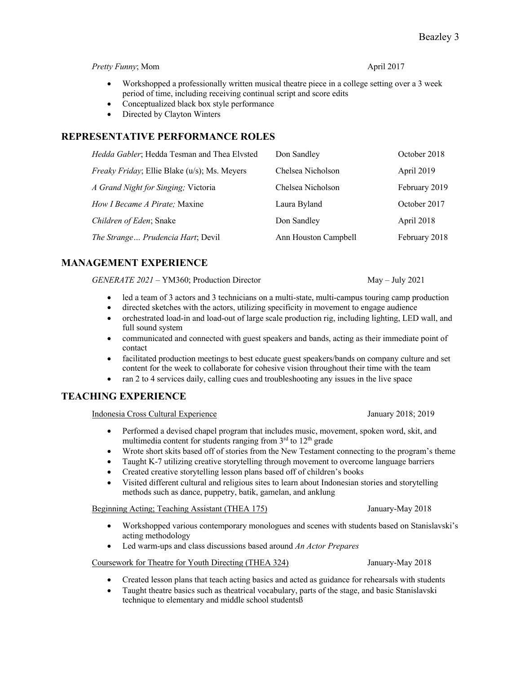### *Pretty Funny*; Mom April 2017

- Workshopped a professionally written musical theatre piece in a college setting over a 3 week period of time, including receiving continual script and score edits
- Conceptualized black box style performance
- Directed by Clayton Winters

# **REPRESENTATIVE PERFORMANCE ROLES**

| Hedda Gabler; Hedda Tesman and Thea Elvsted          | Don Sandley          | October 2018  |
|------------------------------------------------------|----------------------|---------------|
| <i>Freaky Friday</i> ; Ellie Blake (u/s); Ms. Meyers | Chelsea Nicholson    | April 2019    |
| A Grand Night for Singing; Victoria                  | Chelsea Nicholson    | February 2019 |
| How I Became A Pirate; Maxine                        | Laura Byland         | October 2017  |
| Children of Eden; Snake                              | Don Sandley          | April 2018    |
| The Strange Prudencia Hart; Devil                    | Ann Houston Campbell | February 2018 |

# **MANAGEMENT EXPERIENCE**

*GENERATE 2021 –* YM360; Production Director May – July 2021

- led a team of 3 actors and 3 technicians on a multi-state, multi-campus touring camp production
- directed sketches with the actors, utilizing specificity in movement to engage audience
- orchestrated load-in and load-out of large scale production rig, including lighting, LED wall, and full sound system
- communicated and connected with guest speakers and bands, acting as their immediate point of contact
- facilitated production meetings to best educate guest speakers/bands on company culture and set content for the week to collaborate for cohesive vision throughout their time with the team
- ran 2 to 4 services daily, calling cues and troubleshooting any issues in the live space

# **TEACHING EXPERIENCE**

Indonesia Cross Cultural Experience January 2018; 2019

- Performed a devised chapel program that includes music, movement, spoken word, skit, and multimedia content for students ranging from  $3<sup>rd</sup>$  to  $12<sup>th</sup>$  grade
- Wrote short skits based off of stories from the New Testament connecting to the program's theme
- Taught K-7 utilizing creative storytelling through movement to overcome language barriers
- Created creative storytelling lesson plans based off of children's books
- Visited different cultural and religious sites to learn about Indonesian stories and storytelling methods such as dance, puppetry, batik, gamelan, and anklung

### Beginning Acting; Teaching Assistant (THEA 175) January-May 2018

- Workshopped various contemporary monologues and scenes with students based on Stanislavski's acting methodology
- Led warm-ups and class discussions based around *An Actor Prepares*

### Coursework for Theatre for Youth Directing (THEA 324) January-May 2018

- Created lesson plans that teach acting basics and acted as guidance for rehearsals with students
- Taught theatre basics such as theatrical vocabulary, parts of the stage, and basic Stanislavski technique to elementary and middle school studentsß